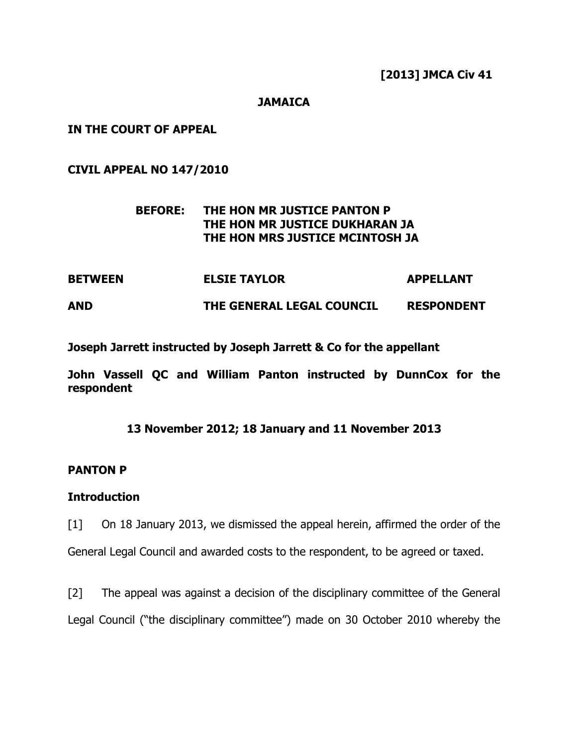### **JAMAICA**

IN THE COURT OF APPEAL

CIVIL APPEAL NO 147/2010

# BEFORE: THE HON MR JUSTICE PANTON P THE HON MR JUSTICE DUKHARAN JA THE HON MRS JUSTICE MCINTOSH JA

BETWEEN ELSIE TAYLOR APPELLANT AND THE GENERAL LEGAL COUNCIL RESPONDENT

Joseph Jarrett instructed by Joseph Jarrett & Co for the appellant

John Vassell QC and William Panton instructed by DunnCox for the respondent

## 13 November 2012; 18 January and 11 November 2013

## PANTON P

## **Introduction**

[1] On 18 January 2013, we dismissed the appeal herein, affirmed the order of the

General Legal Council and awarded costs to the respondent, to be agreed or taxed.

[2] The appeal was against a decision of the disciplinary committee of the General Legal Council ("the disciplinary committee") made on 30 October 2010 whereby the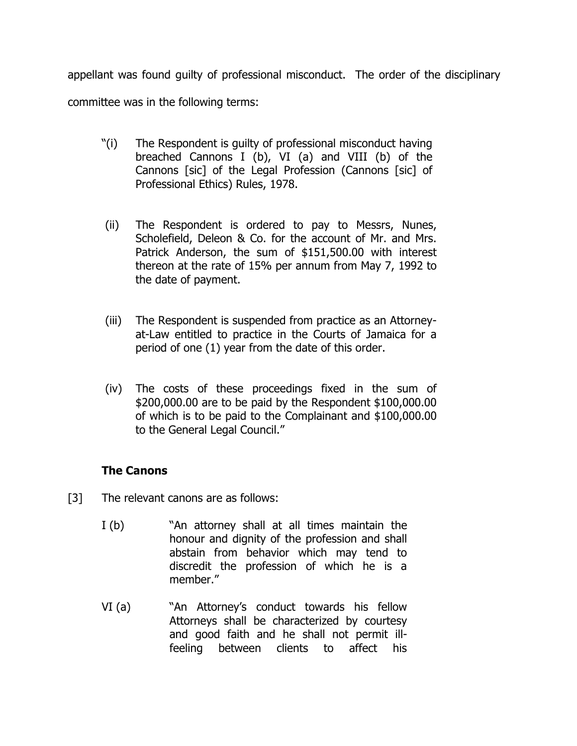appellant was found guilty of professional misconduct. The order of the disciplinary committee was in the following terms:

- "(i) The Respondent is guilty of professional misconduct having breached Cannons I (b), VI (a) and VIII (b) of the Cannons [sic] of the Legal Profession (Cannons [sic] of Professional Ethics) Rules, 1978.
- (ii) The Respondent is ordered to pay to Messrs, Nunes, Scholefield, Deleon & Co. for the account of Mr. and Mrs. Patrick Anderson, the sum of \$151,500.00 with interest thereon at the rate of 15% per annum from May 7, 1992 to the date of payment.
- (iii) The Respondent is suspended from practice as an Attorneyat-Law entitled to practice in the Courts of Jamaica for a period of one (1) year from the date of this order.
- (iv) The costs of these proceedings fixed in the sum of \$200,000.00 are to be paid by the Respondent \$100,000.00 of which is to be paid to the Complainant and \$100,000.00 to the General Legal Council."

# The Canons

- [3] The relevant canons are as follows:
	- I (b) "An attorney shall at all times maintain the honour and dignity of the profession and shall abstain from behavior which may tend to discredit the profession of which he is a member."
	- VI (a) "An Attorney's conduct towards his fellow Attorneys shall be characterized by courtesy and good faith and he shall not permit illfeeling between clients to affect his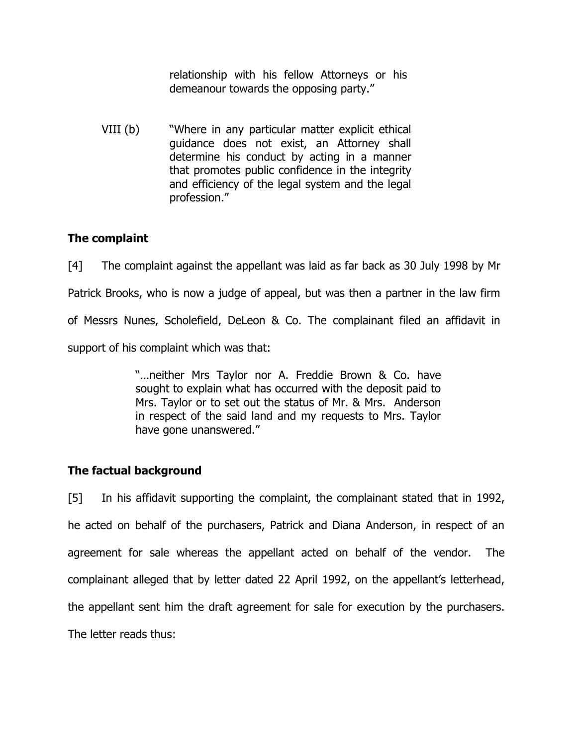relationship with his fellow Attorneys or his demeanour towards the opposing party."

VIII (b) "Where in any particular matter explicit ethical guidance does not exist, an Attorney shall determine his conduct by acting in a manner that promotes public confidence in the integrity and efficiency of the legal system and the legal profession."

# The complaint

[4] The complaint against the appellant was laid as far back as 30 July 1998 by Mr Patrick Brooks, who is now a judge of appeal, but was then a partner in the law firm of Messrs Nunes, Scholefield, DeLeon & Co. The complainant filed an affidavit in support of his complaint which was that:

> "…neither Mrs Taylor nor A. Freddie Brown & Co. have sought to explain what has occurred with the deposit paid to Mrs. Taylor or to set out the status of Mr. & Mrs. Anderson in respect of the said land and my requests to Mrs. Taylor have gone unanswered."

# The factual background

[5] In his affidavit supporting the complaint, the complainant stated that in 1992, he acted on behalf of the purchasers, Patrick and Diana Anderson, in respect of an agreement for sale whereas the appellant acted on behalf of the vendor. The complainant alleged that by letter dated 22 April 1992, on the appellant's letterhead, the appellant sent him the draft agreement for sale for execution by the purchasers. The letter reads thus: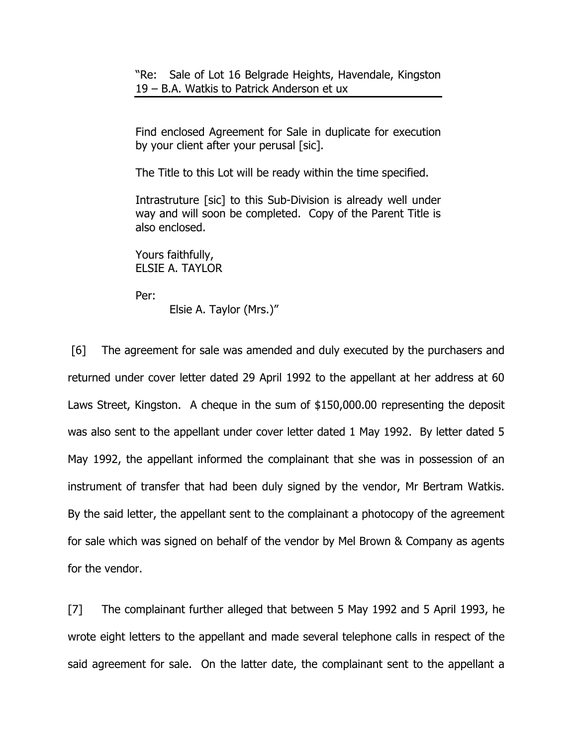"Re: Sale of Lot 16 Belgrade Heights, Havendale, Kingston 19 – B.A. Watkis to Patrick Anderson et ux

Find enclosed Agreement for Sale in duplicate for execution by your client after your perusal [sic].

The Title to this Lot will be ready within the time specified.

Intrastruture [sic] to this Sub-Division is already well under way and will soon be completed. Copy of the Parent Title is also enclosed.

Yours faithfully, ELSIE A. TAYLOR

Per:

Elsie A. Taylor (Mrs.)"

 [6] The agreement for sale was amended and duly executed by the purchasers and returned under cover letter dated 29 April 1992 to the appellant at her address at 60 Laws Street, Kingston. A cheque in the sum of \$150,000.00 representing the deposit was also sent to the appellant under cover letter dated 1 May 1992. By letter dated 5 May 1992, the appellant informed the complainant that she was in possession of an instrument of transfer that had been duly signed by the vendor, Mr Bertram Watkis. By the said letter, the appellant sent to the complainant a photocopy of the agreement for sale which was signed on behalf of the vendor by Mel Brown & Company as agents for the vendor.

[7] The complainant further alleged that between 5 May 1992 and 5 April 1993, he wrote eight letters to the appellant and made several telephone calls in respect of the said agreement for sale. On the latter date, the complainant sent to the appellant a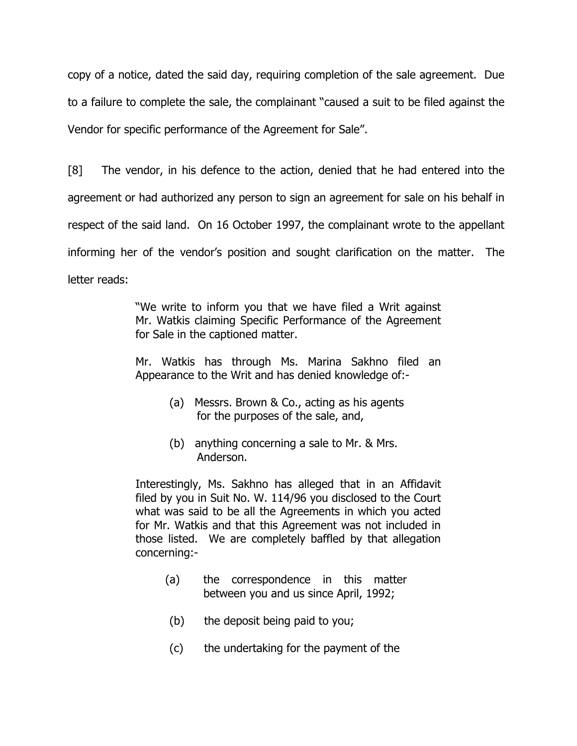copy of a notice, dated the said day, requiring completion of the sale agreement. Due to a failure to complete the sale, the complainant "caused a suit to be filed against the Vendor for specific performance of the Agreement for Sale".

[8] The vendor, in his defence to the action, denied that he had entered into the agreement or had authorized any person to sign an agreement for sale on his behalf in respect of the said land. On 16 October 1997, the complainant wrote to the appellant informing her of the vendor's position and sought clarification on the matter. The letter reads:

> "We write to inform you that we have filed a Writ against Mr. Watkis claiming Specific Performance of the Agreement for Sale in the captioned matter.

> Mr. Watkis has through Ms. Marina Sakhno filed an Appearance to the Writ and has denied knowledge of:-

- (a) Messrs. Brown & Co., acting as his agents for the purposes of the sale, and,
- (b) anything concerning a sale to Mr. & Mrs. Anderson.

Interestingly, Ms. Sakhno has alleged that in an Affidavit filed by you in Suit No. W. 114/96 you disclosed to the Court what was said to be all the Agreements in which you acted for Mr. Watkis and that this Agreement was not included in those listed. We are completely baffled by that allegation concerning:-

- (a) the correspondence in this matter between you and us since April, 1992;
- (b) the deposit being paid to you;
- (c) the undertaking for the payment of the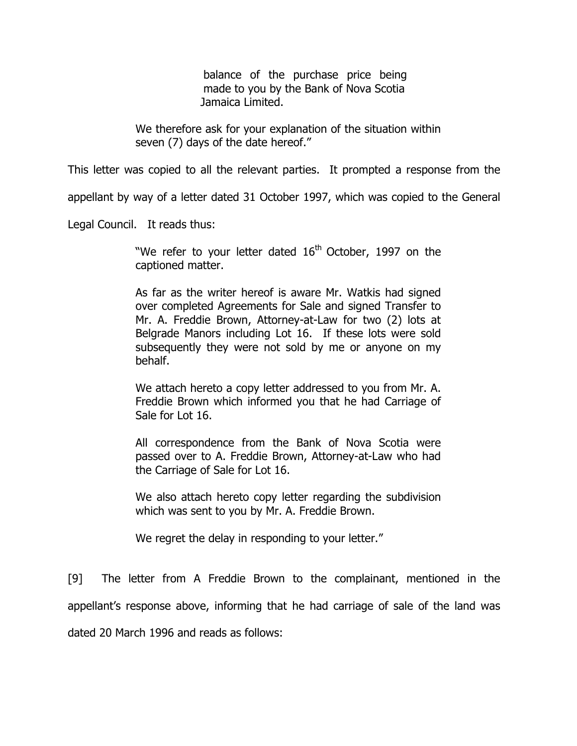balance of the purchase price being made to you by the Bank of Nova Scotia Jamaica Limited.

We therefore ask for your explanation of the situation within seven (7) days of the date hereof."

This letter was copied to all the relevant parties. It prompted a response from the

appellant by way of a letter dated 31 October 1997, which was copied to the General

Legal Council. It reads thus:

"We refer to your letter dated  $16<sup>th</sup>$  October, 1997 on the captioned matter.

As far as the writer hereof is aware Mr. Watkis had signed over completed Agreements for Sale and signed Transfer to Mr. A. Freddie Brown, Attorney-at-Law for two (2) lots at Belgrade Manors including Lot 16. If these lots were sold subsequently they were not sold by me or anyone on my behalf.

We attach hereto a copy letter addressed to you from Mr. A. Freddie Brown which informed you that he had Carriage of Sale for Lot 16.

All correspondence from the Bank of Nova Scotia were passed over to A. Freddie Brown, Attorney-at-Law who had the Carriage of Sale for Lot 16.

We also attach hereto copy letter regarding the subdivision which was sent to you by Mr. A. Freddie Brown.

We regret the delay in responding to your letter."

[9] The letter from A Freddie Brown to the complainant, mentioned in the appellant's response above, informing that he had carriage of sale of the land was dated 20 March 1996 and reads as follows: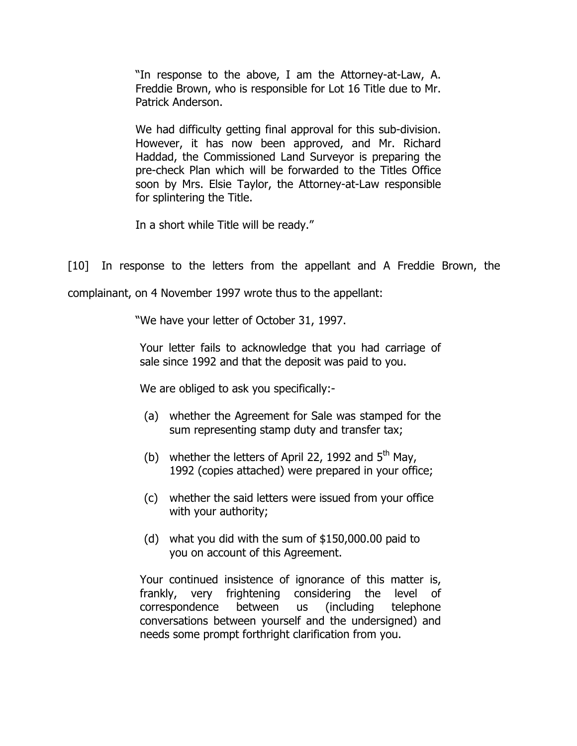"In response to the above, I am the Attorney-at-Law, A. Freddie Brown, who is responsible for Lot 16 Title due to Mr. Patrick Anderson.

We had difficulty getting final approval for this sub-division. However, it has now been approved, and Mr. Richard Haddad, the Commissioned Land Surveyor is preparing the pre-check Plan which will be forwarded to the Titles Office soon by Mrs. Elsie Taylor, the Attorney-at-Law responsible for splintering the Title.

In a short while Title will be ready."

[10] In response to the letters from the appellant and A Freddie Brown, the

complainant, on 4 November 1997 wrote thus to the appellant:

"We have your letter of October 31, 1997.

Your letter fails to acknowledge that you had carriage of sale since 1992 and that the deposit was paid to you.

We are obliged to ask you specifically:-

- (a) whether the Agreement for Sale was stamped for the sum representing stamp duty and transfer tax;
- (b) whether the letters of April 22, 1992 and  $5<sup>th</sup>$  May, 1992 (copies attached) were prepared in your office;
- (c) whether the said letters were issued from your office with your authority;
- (d) what you did with the sum of \$150,000.00 paid to you on account of this Agreement.

Your continued insistence of ignorance of this matter is, frankly, very frightening considering the level of correspondence between us (including telephone conversations between yourself and the undersigned) and needs some prompt forthright clarification from you.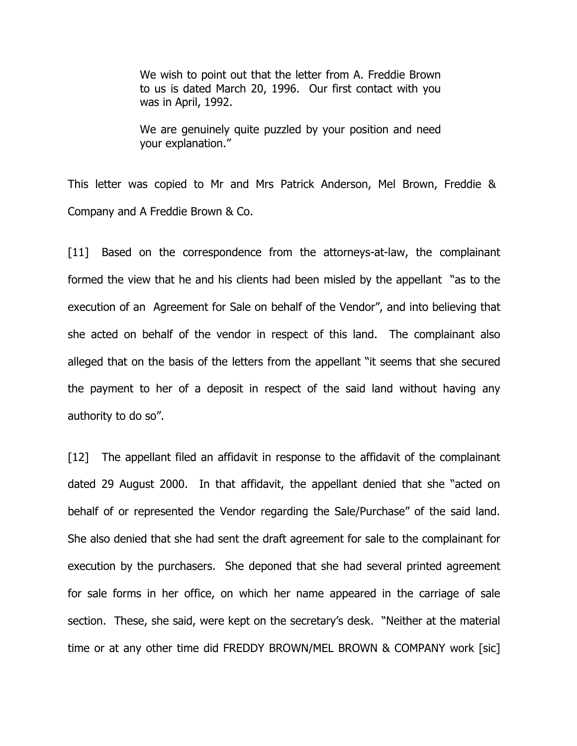We wish to point out that the letter from A. Freddie Brown to us is dated March 20, 1996. Our first contact with you was in April, 1992.

We are genuinely quite puzzled by your position and need your explanation."

This letter was copied to Mr and Mrs Patrick Anderson, Mel Brown, Freddie & Company and A Freddie Brown & Co.

[11] Based on the correspondence from the attorneys-at-law, the complainant formed the view that he and his clients had been misled by the appellant "as to the execution of an Agreement for Sale on behalf of the Vendor", and into believing that she acted on behalf of the vendor in respect of this land. The complainant also alleged that on the basis of the letters from the appellant "it seems that she secured the payment to her of a deposit in respect of the said land without having any authority to do so".

[12] The appellant filed an affidavit in response to the affidavit of the complainant dated 29 August 2000. In that affidavit, the appellant denied that she "acted on behalf of or represented the Vendor regarding the Sale/Purchase" of the said land. She also denied that she had sent the draft agreement for sale to the complainant for execution by the purchasers. She deponed that she had several printed agreement for sale forms in her office, on which her name appeared in the carriage of sale section. These, she said, were kept on the secretary's desk. "Neither at the material time or at any other time did FREDDY BROWN/MEL BROWN & COMPANY work [sic]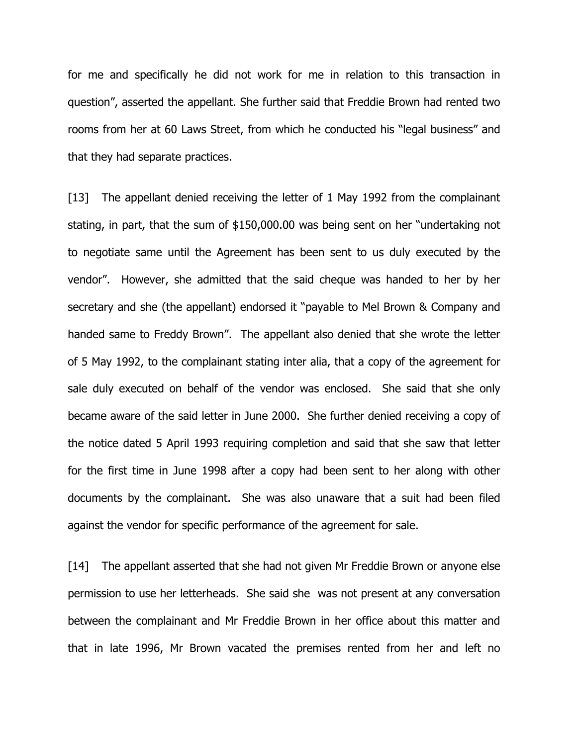for me and specifically he did not work for me in relation to this transaction in question", asserted the appellant. She further said that Freddie Brown had rented two rooms from her at 60 Laws Street, from which he conducted his "legal business" and that they had separate practices.

[13] The appellant denied receiving the letter of 1 May 1992 from the complainant stating, in part, that the sum of \$150,000.00 was being sent on her "undertaking not to negotiate same until the Agreement has been sent to us duly executed by the vendor". However, she admitted that the said cheque was handed to her by her secretary and she (the appellant) endorsed it "payable to Mel Brown & Company and handed same to Freddy Brown". The appellant also denied that she wrote the letter of 5 May 1992, to the complainant stating inter alia, that a copy of the agreement for sale duly executed on behalf of the vendor was enclosed. She said that she only became aware of the said letter in June 2000. She further denied receiving a copy of the notice dated 5 April 1993 requiring completion and said that she saw that letter for the first time in June 1998 after a copy had been sent to her along with other documents by the complainant. She was also unaware that a suit had been filed against the vendor for specific performance of the agreement for sale.

[14] The appellant asserted that she had not given Mr Freddie Brown or anyone else permission to use her letterheads. She said she was not present at any conversation between the complainant and Mr Freddie Brown in her office about this matter and that in late 1996, Mr Brown vacated the premises rented from her and left no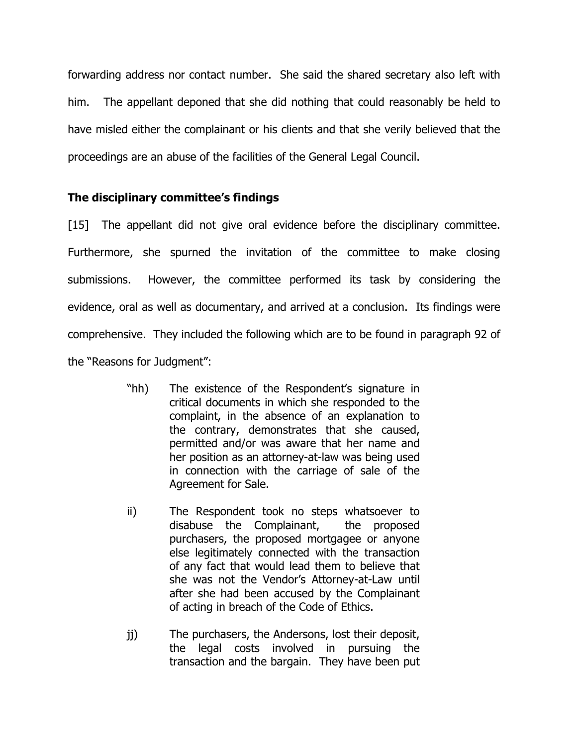forwarding address nor contact number. She said the shared secretary also left with him. The appellant deponed that she did nothing that could reasonably be held to have misled either the complainant or his clients and that she verily believed that the proceedings are an abuse of the facilities of the General Legal Council.

# The disciplinary committee's findings

[15] The appellant did not give oral evidence before the disciplinary committee. Furthermore, she spurned the invitation of the committee to make closing submissions. However, the committee performed its task by considering the evidence, oral as well as documentary, and arrived at a conclusion. Its findings were comprehensive. They included the following which are to be found in paragraph 92 of the "Reasons for Judgment":

- "hh) The existence of the Respondent's signature in critical documents in which she responded to the complaint, in the absence of an explanation to the contrary, demonstrates that she caused, permitted and/or was aware that her name and her position as an attorney-at-law was being used in connection with the carriage of sale of the Agreement for Sale.
- ii) The Respondent took no steps whatsoever to disabuse the Complainant, the proposed purchasers, the proposed mortgagee or anyone else legitimately connected with the transaction of any fact that would lead them to believe that she was not the Vendor's Attorney-at-Law until after she had been accused by the Complainant of acting in breach of the Code of Ethics.
- jj) The purchasers, the Andersons, lost their deposit, the legal costs involved in pursuing the transaction and the bargain. They have been put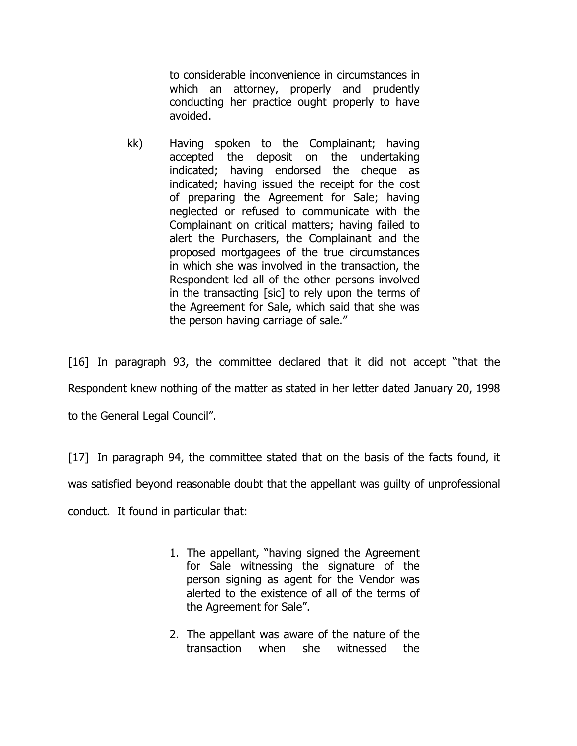to considerable inconvenience in circumstances in which an attorney, properly and prudently conducting her practice ought properly to have avoided.

kk) Having spoken to the Complainant; having accepted the deposit on the undertaking indicated; having endorsed the cheque as indicated; having issued the receipt for the cost of preparing the Agreement for Sale; having neglected or refused to communicate with the Complainant on critical matters; having failed to alert the Purchasers, the Complainant and the proposed mortgagees of the true circumstances in which she was involved in the transaction, the Respondent led all of the other persons involved in the transacting [sic] to rely upon the terms of the Agreement for Sale, which said that she was the person having carriage of sale."

[16] In paragraph 93, the committee declared that it did not accept "that the Respondent knew nothing of the matter as stated in her letter dated January 20, 1998 to the General Legal Council".

[17] In paragraph 94, the committee stated that on the basis of the facts found, it was satisfied beyond reasonable doubt that the appellant was guilty of unprofessional conduct. It found in particular that:

- 1. The appellant, "having signed the Agreement for Sale witnessing the signature of the person signing as agent for the Vendor was alerted to the existence of all of the terms of the Agreement for Sale".
- 2. The appellant was aware of the nature of the transaction when she witnessed the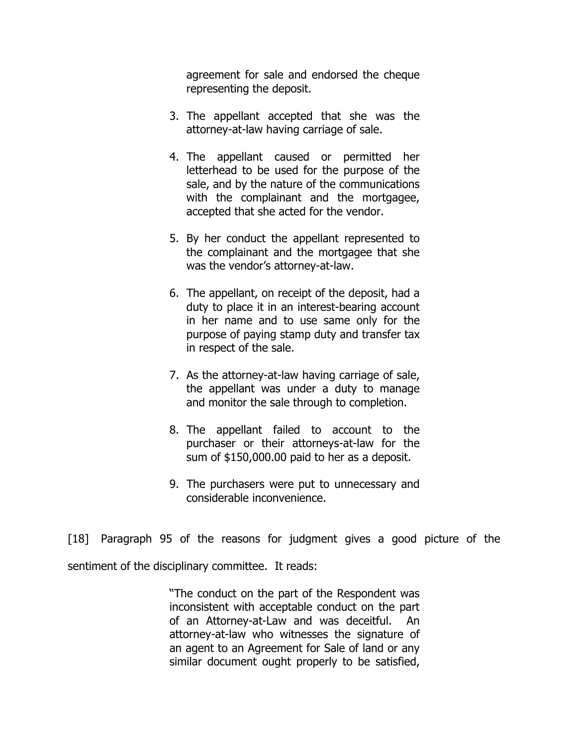agreement for sale and endorsed the cheque representing the deposit.

- 3. The appellant accepted that she was the attorney-at-law having carriage of sale.
- 4. The appellant caused or permitted her letterhead to be used for the purpose of the sale, and by the nature of the communications with the complainant and the mortgagee, accepted that she acted for the vendor.
- 5. By her conduct the appellant represented to the complainant and the mortgagee that she was the vendor's attorney-at-law.
- 6. The appellant, on receipt of the deposit, had a duty to place it in an interest-bearing account in her name and to use same only for the purpose of paying stamp duty and transfer tax in respect of the sale.
- 7. As the attorney-at-law having carriage of sale, the appellant was under a duty to manage and monitor the sale through to completion.
- 8. The appellant failed to account to the purchaser or their attorneys-at-law for the sum of \$150,000.00 paid to her as a deposit.
- 9. The purchasers were put to unnecessary and considerable inconvenience.

[18] Paragraph 95 of the reasons for judgment gives a good picture of the

sentiment of the disciplinary committee. It reads:

"The conduct on the part of the Respondent was inconsistent with acceptable conduct on the part of an Attorney-at-Law and was deceitful. An attorney-at-law who witnesses the signature of an agent to an Agreement for Sale of land or any similar document ought properly to be satisfied,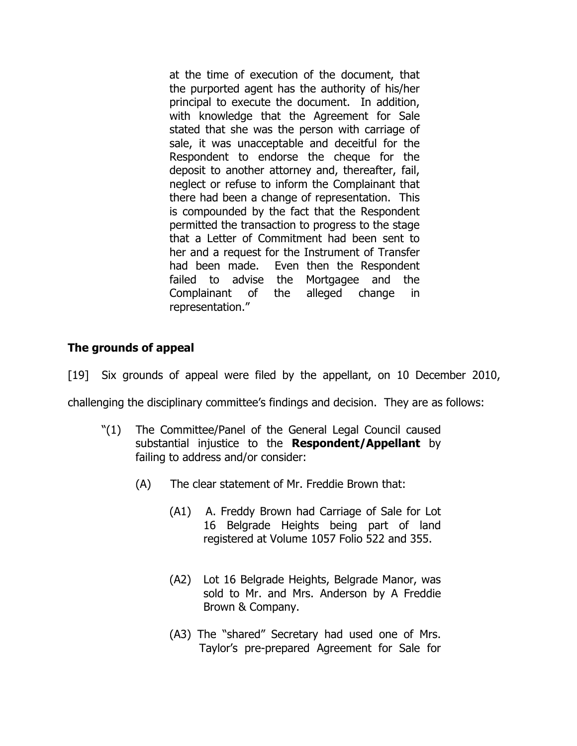at the time of execution of the document, that the purported agent has the authority of his/her principal to execute the document. In addition, with knowledge that the Agreement for Sale stated that she was the person with carriage of sale, it was unacceptable and deceitful for the Respondent to endorse the cheque for the deposit to another attorney and, thereafter, fail, neglect or refuse to inform the Complainant that there had been a change of representation. This is compounded by the fact that the Respondent permitted the transaction to progress to the stage that a Letter of Commitment had been sent to her and a request for the Instrument of Transfer had been made. Even then the Respondent failed to advise the Mortgagee and the Complainant of the alleged change in representation."

# The grounds of appeal

[19] Six grounds of appeal were filed by the appellant, on 10 December 2010,

challenging the disciplinary committee's findings and decision. They are as follows:

- "(1) The Committee/Panel of the General Legal Council caused substantial injustice to the **Respondent/Appellant** by failing to address and/or consider:
	- (A) The clear statement of Mr. Freddie Brown that:
		- (A1) A. Freddy Brown had Carriage of Sale for Lot 16 Belgrade Heights being part of land registered at Volume 1057 Folio 522 and 355.
		- (A2) Lot 16 Belgrade Heights, Belgrade Manor, was sold to Mr. and Mrs. Anderson by A Freddie Brown & Company.
		- (A3) The "shared" Secretary had used one of Mrs. Taylor's pre-prepared Agreement for Sale for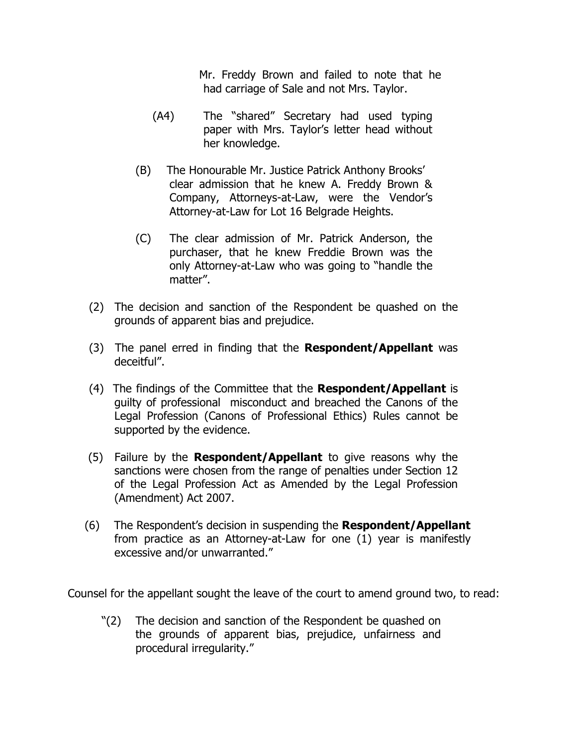Mr. Freddy Brown and failed to note that he had carriage of Sale and not Mrs. Taylor.

- (A4) The "shared" Secretary had used typing paper with Mrs. Taylor's letter head without her knowledge.
- (B) The Honourable Mr. Justice Patrick Anthony Brooks' clear admission that he knew A. Freddy Brown & Company, Attorneys-at-Law, were the Vendor's Attorney-at-Law for Lot 16 Belgrade Heights.
- (C) The clear admission of Mr. Patrick Anderson, the purchaser, that he knew Freddie Brown was the only Attorney-at-Law who was going to "handle the matter".
- (2) The decision and sanction of the Respondent be quashed on the grounds of apparent bias and prejudice.
- (3) The panel erred in finding that the Respondent/Appellant was deceitful".
- (4) The findings of the Committee that the Respondent/Appellant is guilty of professional misconduct and breached the Canons of the Legal Profession (Canons of Professional Ethics) Rules cannot be supported by the evidence.
- $(5)$  Failure by the **Respondent/Appellant** to give reasons why the sanctions were chosen from the range of penalties under Section 12 of the Legal Profession Act as Amended by the Legal Profession (Amendment) Act 2007.
- $(6)$  The Respondent's decision in suspending the **Respondent/Appellant** from practice as an Attorney-at-Law for one (1) year is manifestly excessive and/or unwarranted."

Counsel for the appellant sought the leave of the court to amend ground two, to read:

"(2) The decision and sanction of the Respondent be quashed on the grounds of apparent bias, prejudice, unfairness and procedural irregularity."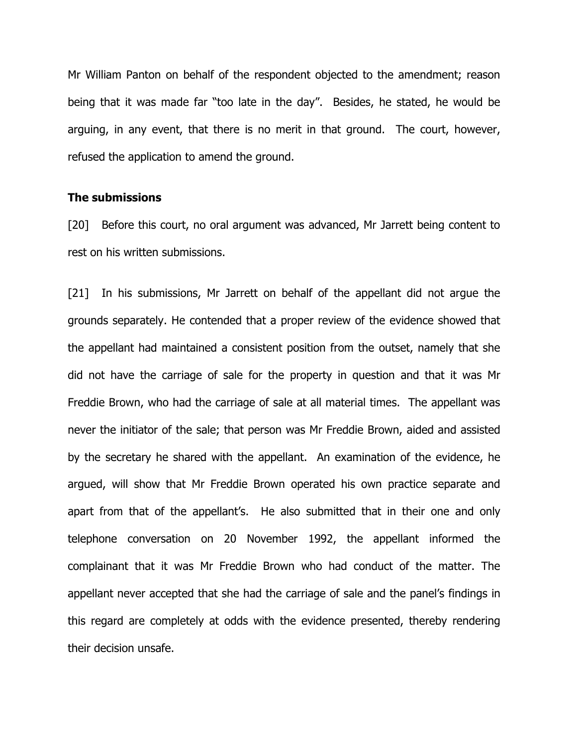Mr William Panton on behalf of the respondent objected to the amendment; reason being that it was made far "too late in the day". Besides, he stated, he would be arguing, in any event, that there is no merit in that ground. The court, however, refused the application to amend the ground.

#### The submissions

[20] Before this court, no oral argument was advanced, Mr Jarrett being content to rest on his written submissions.

[21] In his submissions, Mr Jarrett on behalf of the appellant did not argue the grounds separately. He contended that a proper review of the evidence showed that the appellant had maintained a consistent position from the outset, namely that she did not have the carriage of sale for the property in question and that it was Mr Freddie Brown, who had the carriage of sale at all material times. The appellant was never the initiator of the sale; that person was Mr Freddie Brown, aided and assisted by the secretary he shared with the appellant. An examination of the evidence, he argued, will show that Mr Freddie Brown operated his own practice separate and apart from that of the appellant's. He also submitted that in their one and only telephone conversation on 20 November 1992, the appellant informed the complainant that it was Mr Freddie Brown who had conduct of the matter. The appellant never accepted that she had the carriage of sale and the panel's findings in this regard are completely at odds with the evidence presented, thereby rendering their decision unsafe.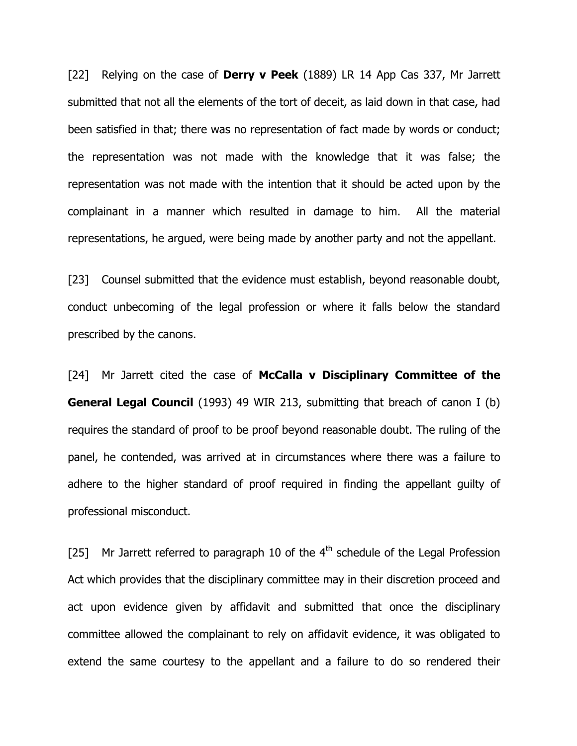[22] Relying on the case of **Derry v Peek** (1889) LR 14 App Cas 337, Mr Jarrett submitted that not all the elements of the tort of deceit, as laid down in that case, had been satisfied in that; there was no representation of fact made by words or conduct; the representation was not made with the knowledge that it was false; the representation was not made with the intention that it should be acted upon by the complainant in a manner which resulted in damage to him. All the material representations, he argued, were being made by another party and not the appellant.

[23] Counsel submitted that the evidence must establish, beyond reasonable doubt, conduct unbecoming of the legal profession or where it falls below the standard prescribed by the canons.

[24] Mr Jarrett cited the case of McCalla v Disciplinary Committee of the **General Legal Council** (1993) 49 WIR 213, submitting that breach of canon I (b) requires the standard of proof to be proof beyond reasonable doubt. The ruling of the panel, he contended, was arrived at in circumstances where there was a failure to adhere to the higher standard of proof required in finding the appellant guilty of professional misconduct.

[25] Mr Jarrett referred to paragraph 10 of the  $4<sup>th</sup>$  schedule of the Legal Profession Act which provides that the disciplinary committee may in their discretion proceed and act upon evidence given by affidavit and submitted that once the disciplinary committee allowed the complainant to rely on affidavit evidence, it was obligated to extend the same courtesy to the appellant and a failure to do so rendered their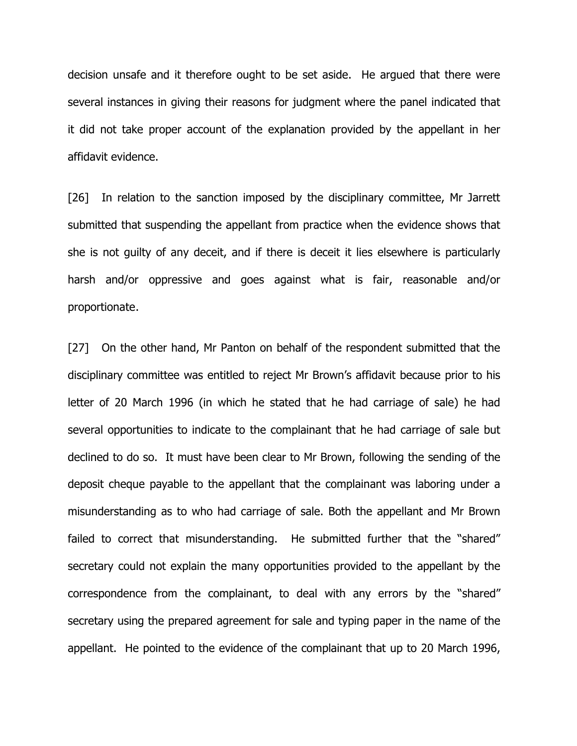decision unsafe and it therefore ought to be set aside. He argued that there were several instances in giving their reasons for judgment where the panel indicated that it did not take proper account of the explanation provided by the appellant in her affidavit evidence.

[26] In relation to the sanction imposed by the disciplinary committee, Mr Jarrett submitted that suspending the appellant from practice when the evidence shows that she is not guilty of any deceit, and if there is deceit it lies elsewhere is particularly harsh and/or oppressive and goes against what is fair, reasonable and/or proportionate .

[27] On the other hand, Mr Panton on behalf of the respondent submitted that the disciplinary committee was entitled to reject Mr Brown's affidavit because prior to his letter of 20 March 1996 (in which he stated that he had carriage of sale) he had several opportunities to indicate to the complainant that he had carriage of sale but declined to do so. It must have been clear to Mr Brown, following the sending of the deposit cheque payable to the appellant that the complainant was laboring under a misunderstanding as to who had carriage of sale. Both the appellant and Mr Brown failed to correct that misunderstanding. He submitted further that the "shared" secretary could not explain the many opportunities provided to the appellant by the correspondence from the complainant, to deal with any errors by the "shared" secretary using the prepared agreement for sale and typing paper in the name of the appellant. He pointed to the evidence of the complainant that up to 20 March 1996,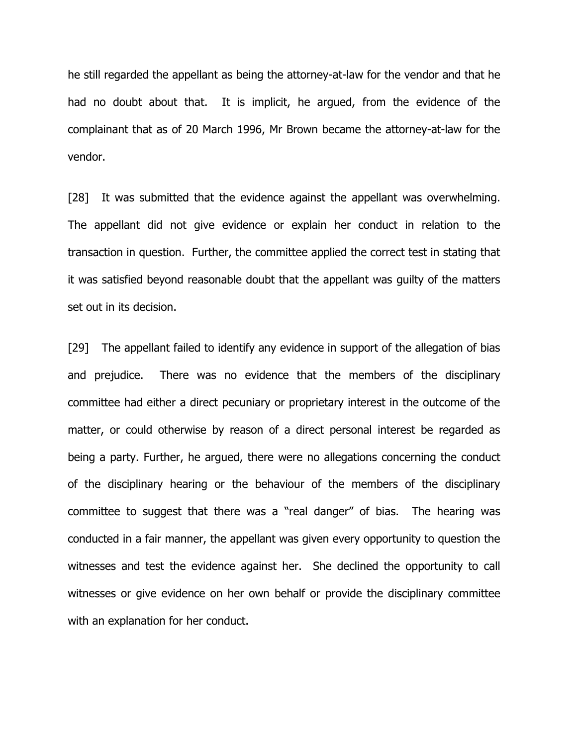he still regarded the appellant as being the attorney-at-law for the vendor and that he had no doubt about that. It is implicit, he argued, from the evidence of the complainant that as of 20 March 1996, Mr Brown became the attorney-at-law for the vendor.

[28] It was submitted that the evidence against the appellant was overwhelming. The appellant did not give evidence or explain her conduct in relation to the transaction in question. Further, the committee applied the correct test in stating that it was satisfied beyond reasonable doubt that the appellant was guilty of the matters set out in its decision.

[29] The appellant failed to identify any evidence in support of the allegation of bias and prejudice. There was no evidence that the members of the disciplinary committee had either a direct pecuniary or proprietary interest in the outcome of the matter, or could otherwise by reason of a direct personal interest be regarded as being a party. Further, he argued, there were no allegations concerning the conduct of the disciplinary hearing or the behaviour of the members of the disciplinary committee to suggest that there was a "real danger" of bias. The hearing was conducted in a fair manner, the appellant was given every opportunity to question the witnesses and test the evidence against her. She declined the opportunity to call witnesses or give evidence on her own behalf or provide the disciplinary committee with an explanation for her conduct.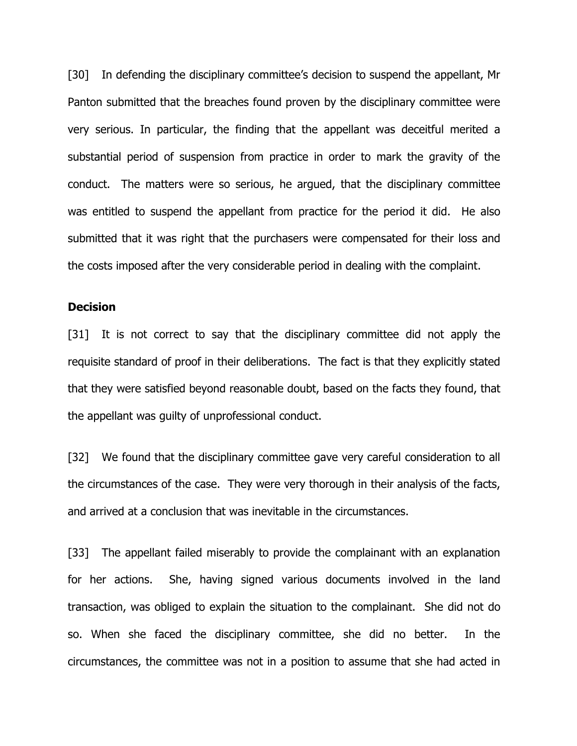[30] In defending the disciplinary committee's decision to suspend the appellant, Mr Panton submitted that the breaches found proven by the disciplinary committee were very serious. In particular, the finding that the appellant was deceitful merited a substantial period of suspension from practice in order to mark the gravity of the conduct. The matters were so serious, he argued, that the disciplinary committee was entitled to suspend the appellant from practice for the period it did. He also submitted that it was right that the purchasers were compensated for their loss and the costs imposed after the very considerable period in dealing with the complaint.

#### **Decision**

[31] It is not correct to say that the disciplinary committee did not apply the requisite standard of proof in their deliberations. The fact is that they explicitly stated that they were satisfied beyond reasonable doubt, based on the facts they found, that the appellant was guilty of unprofessional conduct.

[32] We found that the disciplinary committee gave very careful consideration to all the circumstances of the case. They were very thorough in their analysis of the facts, and arrived at a conclusion that was inevitable in the circumstances.

[33] The appellant failed miserably to provide the complainant with an explanation for her actions. She, having signed various documents involved in the land transaction, was obliged to explain the situation to the complainant. She did not do so. When she faced the disciplinary committee, she did no better. In the circumstances, the committee was not in a position to assume that she had acted in